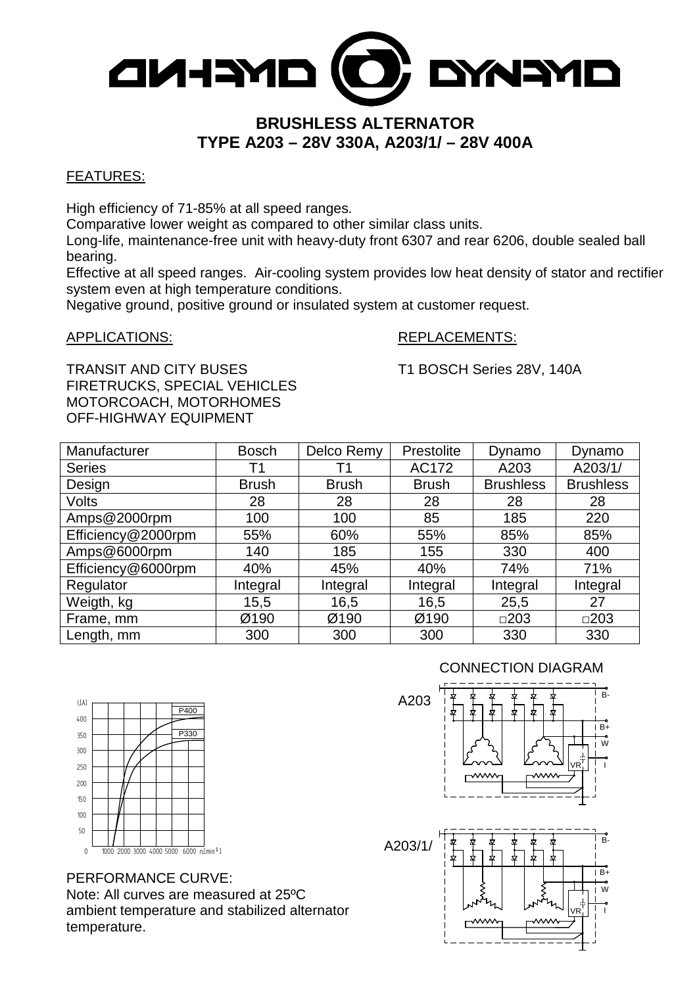

# **BRUSHLESS ALTERNATOR TYPE A203 – 28V 330A, A203/1/ – 28V 400A**

#### FEATURES:

High efficiency of 71-85% at all speed ranges.

Comparative lower weight as compared to other similar class units.

Long-life, maintenance-free unit with heavy-duty front 6307 and rear 6206, double sealed ball bearing.

Effective at all speed ranges. Air-cooling system provides low heat density of stator and rectifier system even at high temperature conditions.

Negative ground, positive ground or insulated system at customer request.

### APPLICATIONS: REPLACEMENTS:

TRANSIT AND CITY BUSES T1 BOSCH Series 28V, 140A FIRETRUCKS, SPECIAL VEHICLES MOTORCOACH, MOTORHOMES OFF-HIGHWAY EQUIPMENT

| Manufacturer       | <b>Bosch</b> | Delco Remy   | <b>Prestolite</b> | Dynamo           | Dynamo           |
|--------------------|--------------|--------------|-------------------|------------------|------------------|
| <b>Series</b>      | Τ1           | Τ1           | AC172             | A203             | A203/1/          |
| Design             | <b>Brush</b> | <b>Brush</b> | <b>Brush</b>      | <b>Brushless</b> | <b>Brushless</b> |
| Volts              | 28           | 28           | 28                | 28               | 28               |
| Amps@2000rpm       | 100          | 100          | 85                | 185              | 220              |
| Efficiency@2000rpm | 55%          | 60%          | 55%               | 85%              | 85%              |
| Amps@6000rpm       | 140          | 185          | 155               | 330              | 400              |
| Efficiency@6000rpm | 40%          | 45%          | 40%               | 74%              | 71%              |
| Regulator          | Integral     | Integral     | Integral          | Integral         | Integral         |
| Weigth, kg         | 15,5         | 16,5         | 16,5              | 25,5             | 27               |
| Frame, mm          | Ø190         | Ø190         | Ø190              | $\square$ 203    | $\square$ 203    |
| Length, mm         | 300          | 300          | 300               | 330              | 330              |

### CONNECTION DIAGRAM

B-

B+ W

VR I I





0 1000 2000 3000 4000 5000 6000 n[min<sup>1</sup>] A203/1/ 50 100 150 200  $|IA|$ 250 300 350 400 P330 P400  $\frac{1}{2}$ 

PERFORMANCE CURVE: Note: All curves are measured at 25ºC ambient temperature and stabilized alternator temperature.